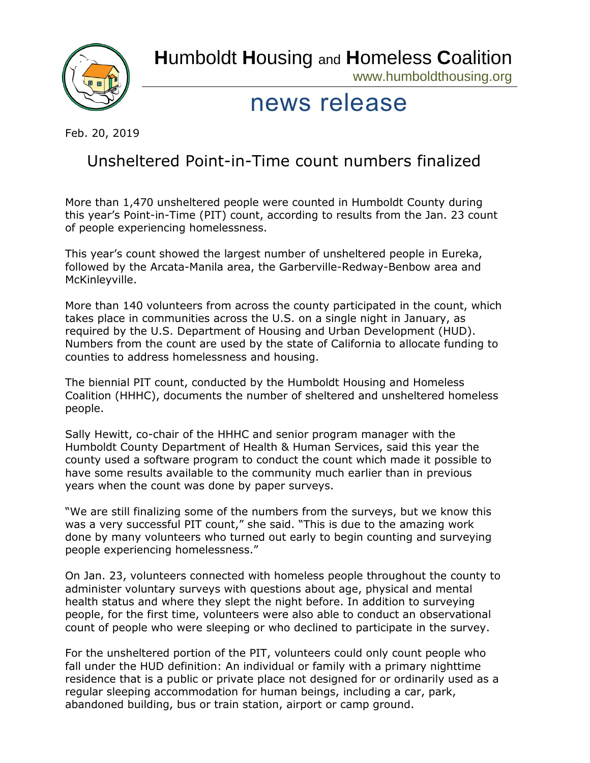**H**umboldt **H**ousing and **H**omeless **C**oalition



www.humboldthousing.org

## news release

Feb. 20, 2019

## Unsheltered Point-in-Time count numbers finalized

More than 1,470 unsheltered people were counted in Humboldt County during this year's Point-in-Time (PIT) count, according to results from the Jan. 23 count of people experiencing homelessness.

This year's count showed the largest number of unsheltered people in Eureka, followed by the Arcata-Manila area, the Garberville-Redway-Benbow area and McKinleyville.

More than 140 volunteers from across the county participated in the count, which takes place in communities across the U.S. on a single night in January, as required by the U.S. Department of Housing and Urban Development (HUD). Numbers from the count are used by the state of California to allocate funding to counties to address homelessness and housing.

The biennial PIT count, conducted by the Humboldt Housing and Homeless Coalition (HHHC), documents the number of sheltered and unsheltered homeless people.

Sally Hewitt, co-chair of the HHHC and senior program manager with the Humboldt County Department of Health & Human Services, said this year the county used a software program to conduct the count which made it possible to have some results available to the community much earlier than in previous years when the count was done by paper surveys.

"We are still finalizing some of the numbers from the surveys, but we know this was a very successful PIT count," she said. "This is due to the amazing work done by many volunteers who turned out early to begin counting and surveying people experiencing homelessness."

On Jan. 23, volunteers connected with homeless people throughout the county to administer voluntary surveys with questions about age, physical and mental health status and where they slept the night before. In addition to surveying people, for the first time, volunteers were also able to conduct an observational count of people who were sleeping or who declined to participate in the survey.

For the unsheltered portion of the PIT, volunteers could only count people who fall under the HUD definition: An individual or family with a primary nighttime residence that is a public or private place not designed for or ordinarily used as a regular sleeping accommodation for human beings, including a car, park, abandoned building, bus or train station, airport or camp ground.